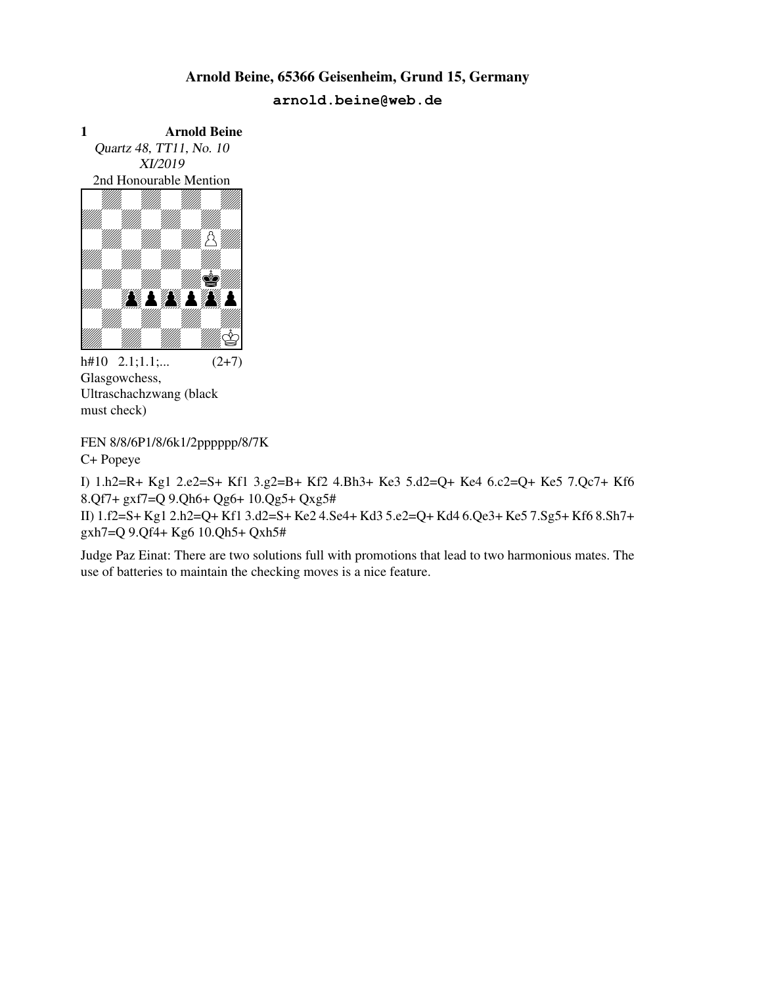1 Arnold Beine Quartz 48, TT11, No. 10 XI/2019 2nd Honourable Mention Arnold E<br>
Arnold Beine<br>
Puartz 48, TT11, No. 10<br>
XI/2019<br>
and Honourable Mention<br>
All Martin Williams



 $h#10$  2.1;1.1;...  $(2+7)$ Glasgowchess, Ultraschachzwang (black must check)

FEN 8/8/6P1/8/6k1/2pppppp/8/7K C+ Popeye

I) 1.h2=R+ Kg1 2.e2=S+ Kf1 3.g2=B+ Kf2 4.Bh3+ Ke3 5.d2=Q+ Ke4 6.c2=Q+ Ke5 7.Qc7+ Kf6 8.Qf7+ gxf7=Q 9.Qh6+ Qg6+ 10.Qg5+ Qxg5# II) 1.f2=S+ Kg1 2.h2=Q+ Kf1 3.d2=S+ Ke2 4.Se4+ Kd3 5.e2=Q+ Kd4 6.Qe3+ Ke5 7.Sg5+ Kf6 8.Sh7+ gxh7=Q 9.Qf4+ Kg6 10.Qh5+ Qxh5#

Judge Paz Einat: There are two solutions full with promotions that lead to two harmonious mates. The use of batteries to maintain the checking moves is a nice feature.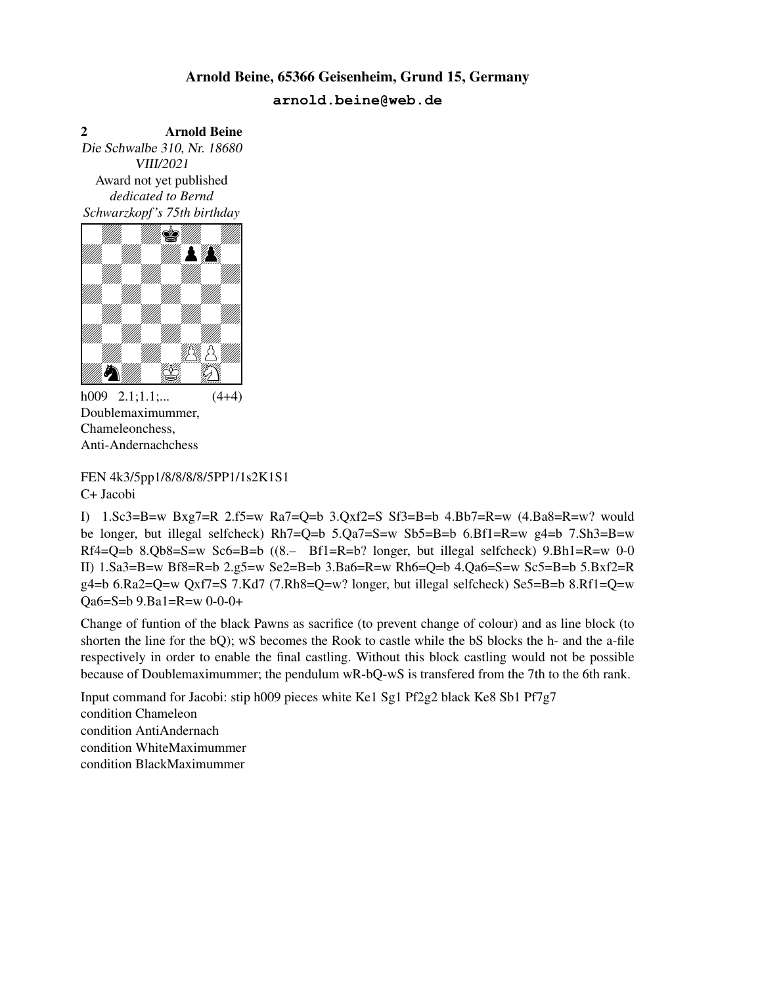2 Arnold Beine Die Schwalbe 310, Nr. 18680 VIII/2021 Award not yet published *dedicated to Bernd Schwarzkopf 's 75th birthday* 2<br>
Die Schwalbe 310, Nr. 18680<br>
VIII/2021<br>
Award not yet published<br>
dedicated to Bernd<br>
Schwarzkopf's 75th birthday<br>
William Milliam Milliam Milliam Milliam Milliam<br>
William Milliam Milliam Milliam Milliam Milliam Milliam



 $h009$  2.1;1.1;...  $(4+4)$ Doublemaximummer, Chameleonchess, Anti-Andernachchess

FEN 4k3/5pp1/8/8/8/8/5PP1/1s2K1S1 C+ Jacobi

I)  $1.\text{Sc3=B=w } Bxg7=R$   $2.55=w$   $Ra7=Q=b$   $3.Qxf2=S$   $Sf3=B=b$   $4. Bb7=R=w$   $(4. Ba8=R=w)$  would be longer, but illegal selfcheck) Rh7=Q=b 5.Qa7=S=w Sb5=B=b 6.Bf1=R=w g4=b 7.Sh3=B=w Rf4=Q=b 8.Qb8=S=w Sc6=B=b ((8.– Bf1=R=b? longer, but illegal selfcheck) 9.Bh1=R=w 0-0 II) 1.Sa3=B=w Bf8=R=b 2.g5=w Se2=B=b 3.Ba6=R=w Rh6=Q=b 4.Qa6=S=w Sc5=B=b 5.Bxf2=R  $g4=b$  6.Ra2=Q=w Qxf7=S 7.Kd7 (7.Rh8=Q=w? longer, but illegal selfcheck) Se5=B=b 8.Rf1=Q=w Qa6=S=b 9.Ba1=R=w 0-0-0+

Change of funtion of the black Pawns as sacrifice (to prevent change of colour) and as line block (to shorten the line for the bQ); wS becomes the Rook to castle while the bS blocks the h- and the a-file respectively in order to enable the final castling. Without this block castling would not be possible because of Doublemaximummer; the pendulum wR-bQ-wS is transfered from the 7th to the 6th rank.

Input command for Jacobi: stip h009 pieces white Ke1 Sg1 Pf2g2 black Ke8 Sb1 Pf7g7 condition Chameleon condition AntiAndernach condition WhiteMaximummer condition BlackMaximummer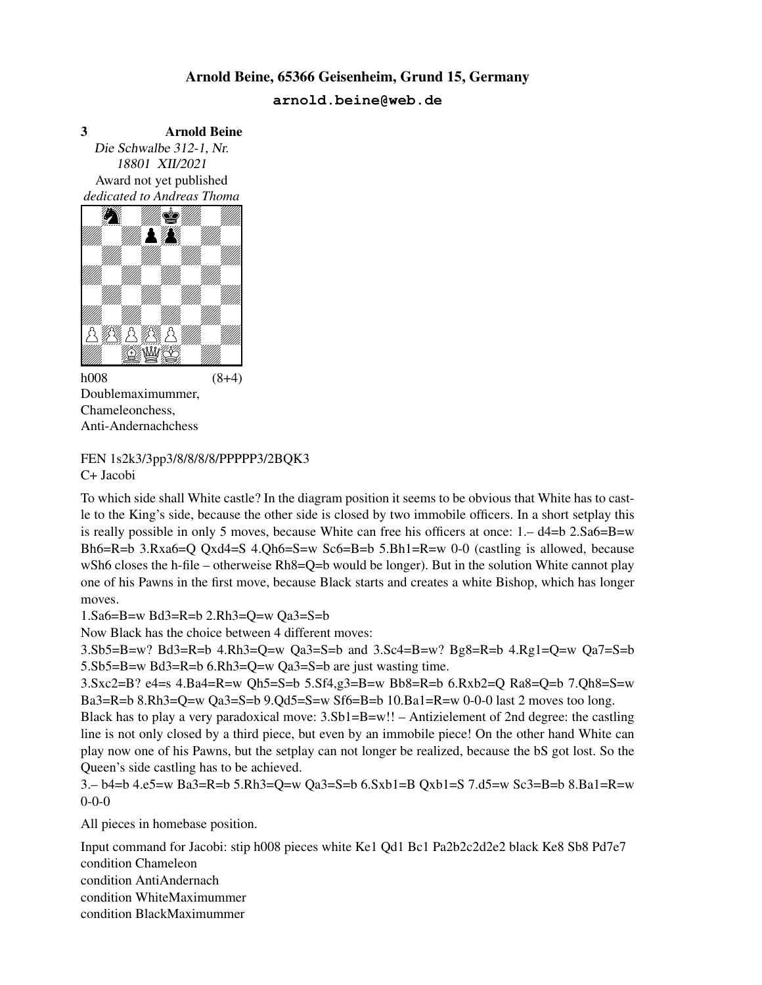3 Arnold Beine Die Schwalbe 312-1, Nr. 18801 XII/2021 Award not yet published *dedicated to Andreas Thoma*



 $h008$  (8+4) Doublemaximummer, Chameleonchess, Anti-Andernachchess

FEN 1s2k3/3pp3/8/8/8/8/PPPPP3/2BQK3 C+ Jacobi

To which side shall White castle? In the diagram position it seems to be obvious that White has to castle to the King's side, because the other side is closed by two immobile officers. In a short setplay this is really possible in only 5 moves, because White can free his officers at once:  $1 - d4 = b \cdot 2.$  Sa6=B=w Bh6=R=b 3.Rxa6=Q Qxd4=S 4.Qh6=S=w Sc6=B=b 5.Bh1=R=w 0-0 (castling is allowed, because wSh6 closes the h-file – otherweise Rh8=Q=b would be longer). But in the solution White cannot play one of his Pawns in the first move, because Black starts and creates a white Bishop, which has longer moves.

1.Sa6=B=w Bd3=R=b 2.Rh3=Q=w Qa3=S=b

Now Black has the choice between 4 different moves:

 $3. Sb5 = B=w$ ? Bd $3 = R = b$  4.Rh $3 = Q=w$  Qa $3 = S = b$  and  $3. Sc4 = B=w$ ? Bg $8 = R = b$  4.Rg $1 = Q=w$  Qa $7 = S = b$ 5.Sb5=B=w Bd3=R=b 6.Rh3=Q=w Qa3=S=b are just wasting time.

3.Sxc2=B? e4=s 4.Ba4=R=w Qh5=S=b 5.Sf4,g3=B=w Bb8=R=b 6.Rxb2=Q Ra8=Q=b 7.Qh8=S=w Ba3=R=b 8.Rh3=Q=w Qa3=S=b 9.Qd5=S=w Sf6=B=b 10.Ba1=R=w 0-0-0 last 2 moves too long.

Black has to play a very paradoxical move: 3.Sb1=B=w!! – Antizielement of 2nd degree: the castling line is not only closed by a third piece, but even by an immobile piece! On the other hand White can play now one of his Pawns, but the setplay can not longer be realized, because the bS got lost. So the Queen's side castling has to be achieved.

3.– b4=b 4.e5=w Ba3=R=b 5.Rh3=Q=w Qa3=S=b 6.Sxb1=B Qxb1=S 7.d5=w Sc3=B=b 8.Ba1=R=w 0-0-0

All pieces in homebase position.

Input command for Jacobi: stip h008 pieces white Ke1 Qd1 Bc1 Pa2b2c2d2e2 black Ke8 Sb8 Pd7e7 condition Chameleon condition AntiAndernach condition WhiteMaximummer condition BlackMaximummer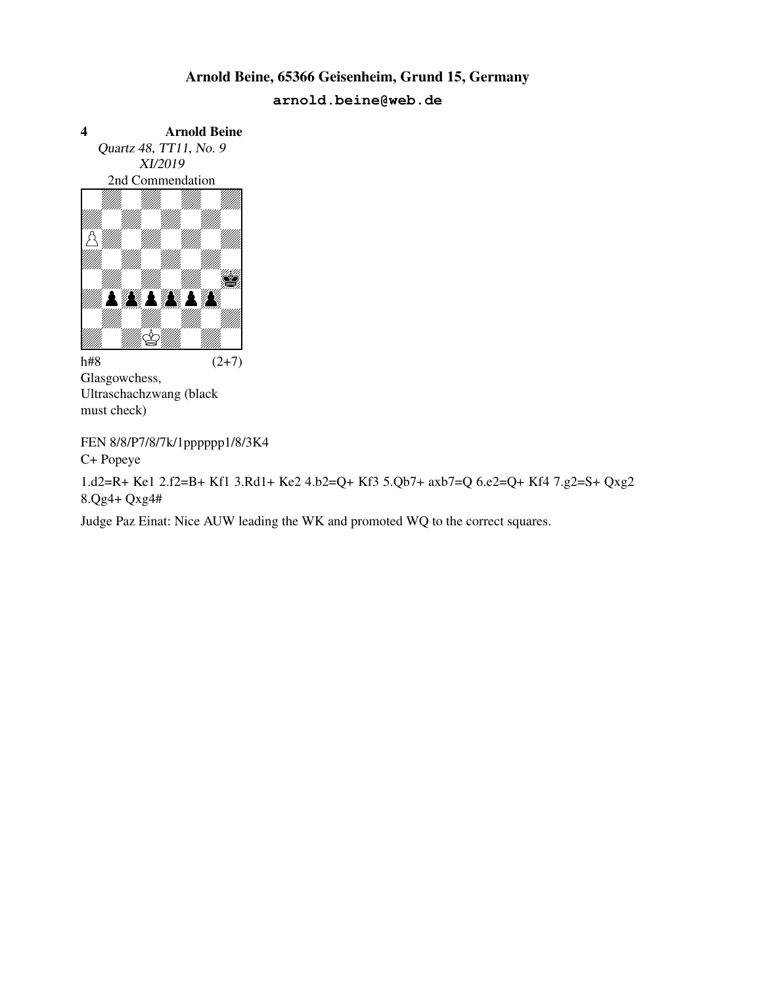

Glasgowchess, Ultraschachzwang (black must check)

FEN 8/8/P7/8/7k/1pppppp1/8/3K4 C+ Popeye

1.d2=R+ Ke1 2.f2=B+ Kf1 3.Rd1+ Ke2 4.b2=Q+ Kf3 5.Qb7+ axb7=Q 6.e2=Q+ Kf4 7.g2=S+ Qxg2 8.Qg4+ Qxg4#

Judge Paz Einat: Nice AUW leading the WK and promoted WQ to the correct squares.